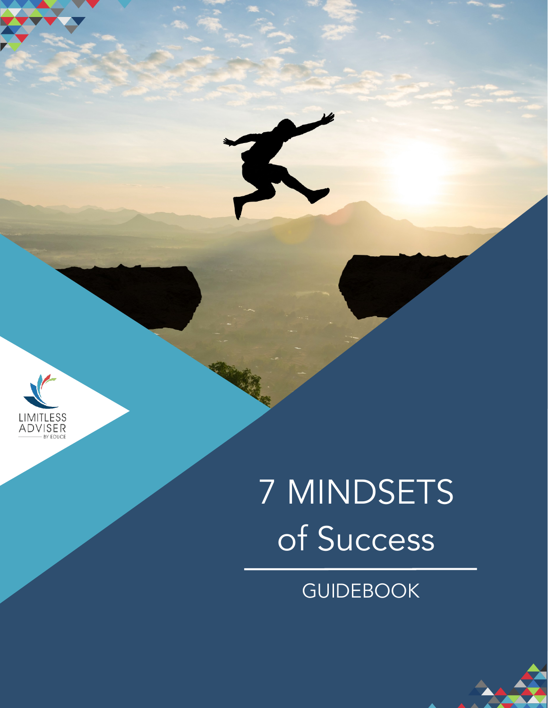

# 7 MINDSETS of Success

## GUIDEBOOK

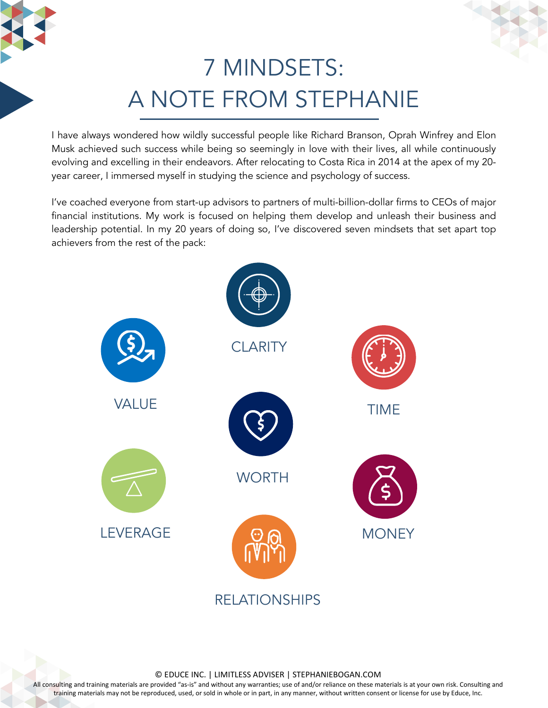## 7 MINDSETS: A NOTE FROM STEPHANIE

I have always wondered how wildly successful people like Richard Branson, Oprah Winfrey and Elon Musk achieved such success while being so seemingly in love with their lives, all while continuously evolving and excelling in their endeavors. After relocating to Costa Rica in 2014 at the apex of my 20 year career, I immersed myself in studying the science and psychology of success.

I've coached everyone from start-up advisors to partners of multi-billion-dollar firms to CEOs of major financial institutions. My work is focused on helping them develop and unleash their business and leadership potential. In my 20 years of doing so, I've discovered seven mindsets that set apart top achievers from the rest of the pack:



© EDUCE INC. | LIMITLESS ADVISER | STEPHANIEBOGAN.COM

All consulting and training materials are provided "as-is" and without any warranties; use of and/or reliance on these materials is at your own risk. Consulting and training materials may not be reproduced, used, or sold in whole or in part, in any manner, without written consent or license for use by Educe, Inc.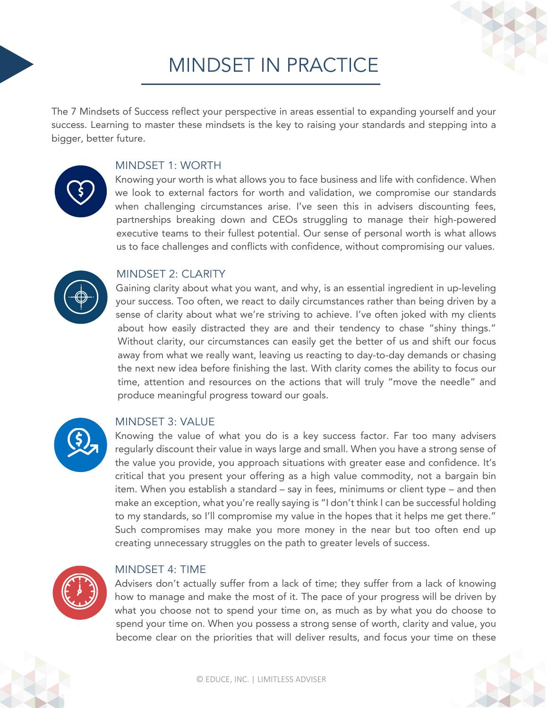### MINDSET IN PRACTICE

The 7 Mindsets of Success reflect your perspective in areas essential to expanding yourself and your success. Learning to master these mindsets is the key to raising your standards and stepping into a bigger, better future.

#### MINDSET 1: WORTH

Knowing your worth is what allows you to face business and life with confidence. When we look to external factors for worth and validation, we compromise our standards when challenging circumstances arise. I've seen this in advisers discounting fees, partnerships breaking down and CEOs struggling to manage their high-powered executive teams to their fullest potential. Our sense of personal worth is what allows us to face challenges and conflicts with confidence, without compromising our values.



### MINDSFT 2: CLARITY

Gaining clarity about what you want, and why, is an essential ingredient in up-leveling your success. Too often, we react to daily circumstances rather than being driven by a sense of clarity about what we're striving to achieve. I've often joked with my clients about how easily distracted they are and their tendency to chase "shiny things." Without clarity, our circumstances can easily get the better of us and shift our focus away from what we really want, leaving us reacting to day-to-day demands or chasing the next new idea before finishing the last. With clarity comes the ability to focus our time, attention and resources on the actions that will truly "move the needle" and produce meaningful progress toward our goals.



### MINDSET 3: VALUE

Knowing the value of what you do is a key success factor. Far too many advisers regularly discount their value in ways large and small. When you have a strong sense of the value you provide, you approach situations with greater ease and confidence. It's critical that you present your offering as a high value commodity, not a bargain bin item. When you establish a standard – say in fees, minimums or client type – and then make an exception, what you're really saying is "I don't think I can be successful holding to my standards, so I'll compromise my value in the hopes that it helps me get there." Such compromises may make you more money in the near but too often end up creating unnecessary struggles on the path to greater levels of success.



### MINDSET 4: TIME

Advisers don't actually suffer from a lack of time; they suffer from a lack of knowing how to manage and make the most of it. The pace of your progress will be driven by what you choose not to spend your time on, as much as by what you do choose to spend your time on. When you possess a strong sense of worth, clarity and value, you become clear on the priorities that will deliver results, and focus your time on these